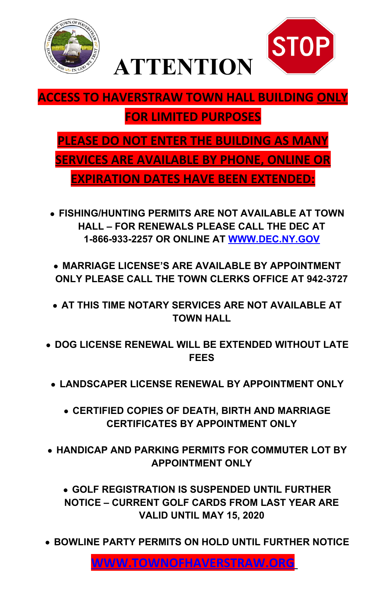



# **ACCESS TO HAVERSTRAW TOWN HALL BUILDING ONLY**

# **FOR LIMITED PURPOSES**

**PLEASE DO NOT ENTER THE BUILDING AS MANY SERVICES ARE AVAILABLE BY PHONE, ONLINE OR EXPIRATION DATES HAVE BEEN EXTENDED:**

- **FISHING/HUNTING PERMITS ARE NOT AVAILABLE AT TOWN HALL – FOR RENEWALS PLEASE CALL THE DEC AT 1-866-933-2257 OR ONLINE AT [WWW.DEC.NY.GOV](http://WWW.DEC.NY.GOV/)**
- **MARRIAGE LICENSE'S ARE AVAILABLE BY APPOINTMENT ONLY PLEASE CALL THE TOWN CLERKS OFFICE AT 942-3727**
- **AT THIS TIME NOTARY SERVICES ARE NOT AVAILABLE AT TOWN HALL**
- **DOG LICENSE RENEWAL WILL BE EXTENDED WITHOUT LATE FEES**
	- **LANDSCAPER LICENSE RENEWAL BY APPOINTMENT ONLY**
		- **CERTIFIED COPIES OF DEATH, BIRTH AND MARRIAGE CERTIFICATES BY APPOINTMENT ONLY**

#### **HANDICAP AND PARKING PERMITS FOR COMMUTER LOT BY APPOINTMENT ONLY**

### **GOLF REGISTRATION IS SUSPENDED UNTIL FURTHER NOTICE – CURRENT GOLF CARDS FROM LAST YEAR ARE VALID UNTIL MAY 15, 2020**

#### **BOWLINE PARTY PERMITS ON HOLD UNTIL FURTHER NOTICE**

 **[WWW.TOWNOFHAVERSTRAW.ORG](http://WWW.TOWNOFHAVERSTRAW.ORG/)**